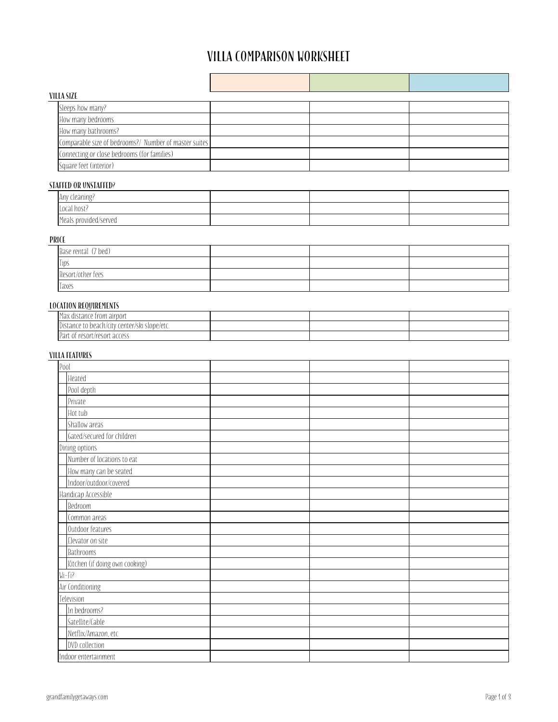# VILLA COMPARISON WORKSHEET

| VILLA SIZE                                            |  |  |  |  |
|-------------------------------------------------------|--|--|--|--|
| Sleeps how many?                                      |  |  |  |  |
| How many bedrooms                                     |  |  |  |  |
| How many bathrooms?                                   |  |  |  |  |
| Comparable size of bedrooms?/ Number of master suites |  |  |  |  |
| Connecting or close bedrooms (for families)           |  |  |  |  |
| Square feet (interior)                                |  |  |  |  |

### Staffed or Unstaffed?

| Any cleaning?         |  |  |
|-----------------------|--|--|
| Local host?           |  |  |
| Meals provided/served |  |  |

## PRICE

| Base rental (7 bed) |  |  |
|---------------------|--|--|
| Tips                |  |  |
| Resort/other fees   |  |  |
| Taxes               |  |  |

#### Location requirements

| k distance from airport-<br>$M \cap M$<br>Πdλ                |  |  |
|--------------------------------------------------------------|--|--|
| slope/etc.<br>center/ski :<br>Distance to beach/<br>a/City r |  |  |
| Part of resort/resort access                                 |  |  |

# Villa features

| Pool                           |  |  |
|--------------------------------|--|--|
| Heated                         |  |  |
| Pool depth                     |  |  |
| Private                        |  |  |
| Hot tub                        |  |  |
| Shallow areas                  |  |  |
| Gated/secured for children     |  |  |
| Dining options                 |  |  |
| Number of locations to eat     |  |  |
| How many can be seated         |  |  |
| Indoor/outdoor/covered         |  |  |
| Handicap Accessible            |  |  |
| Bedroom                        |  |  |
| Common areas                   |  |  |
| Outdoor features               |  |  |
| Elevator on site               |  |  |
| Bathrooms                      |  |  |
| Kitchen (if doing own cooking) |  |  |
| $Wi-Fi?$                       |  |  |
| Air Conditioning               |  |  |
| Television                     |  |  |
| In bedrooms?                   |  |  |
| Satellite/Cable                |  |  |
| Netflix/Amazon, etc            |  |  |
| DVD collection                 |  |  |
| Indoor entertainment           |  |  |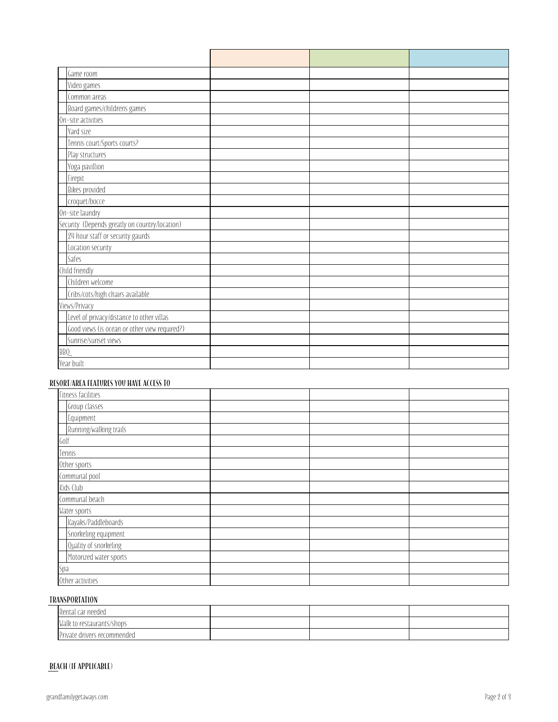| Game room                                      |  |  |
|------------------------------------------------|--|--|
| Video games                                    |  |  |
| Common areas                                   |  |  |
| Board games/childrens games                    |  |  |
| On-site activities                             |  |  |
| Yard size                                      |  |  |
| Tennis court/Sports courts?                    |  |  |
| Play structures                                |  |  |
| Yoga pavillion                                 |  |  |
| Firepit                                        |  |  |
| Bikes provided                                 |  |  |
| croquet/bocce                                  |  |  |
| On-site laundry                                |  |  |
| Security (Depends greatly on country/location) |  |  |
| 24 hour staff or security gaurds               |  |  |
| Location security                              |  |  |
| Safes                                          |  |  |
| Child friendly                                 |  |  |
| Children welcome                               |  |  |
| Cribs/cots/high chairs available               |  |  |
| Views/Privacy                                  |  |  |
| Level of privacy/distance to other villas      |  |  |
| Good views (is ocean or other view required?)  |  |  |
| Sunrise/sunset views                           |  |  |
| BBQ                                            |  |  |
| Year built                                     |  |  |

### Resort/Area features you have access to

| Fitness facilities     |  |  |
|------------------------|--|--|
| Group classes          |  |  |
| Equipment              |  |  |
| Running/walking trails |  |  |
| Golf                   |  |  |
| Tennis                 |  |  |
| Other sports           |  |  |
| Communal pool          |  |  |
| Kids Club              |  |  |
| Communal beach         |  |  |
| Water sports           |  |  |
| Kayaks/Paddleboards    |  |  |
| Snorkeling equipment   |  |  |
| Quality of snorkeling  |  |  |
| Motorized water sports |  |  |
| Spa                    |  |  |
| Other activities       |  |  |

## Transportation

| Rental car needed           |  |  |
|-----------------------------|--|--|
| Walk to restaurants/shops   |  |  |
| Private drivers recommended |  |  |

### Beach (if applicable)